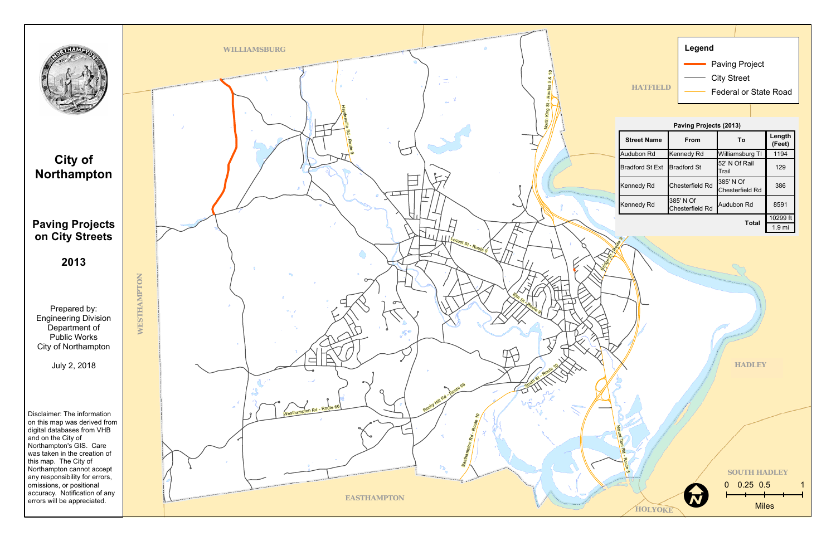m Rd - Ro ute س

*SOUTH HADLEY*  $\boldsymbol{N}$  $\begin{picture}(180,170) \put(0,0){\line(1,0){100}} \put(15,0){\line(1,0){100}} \put(15,0){\line(1,0){100}} \put(15,0){\line(1,0){100}} \put(15,0){\line(1,0){100}} \put(15,0){\line(1,0){100}} \put(15,0){\line(1,0){100}} \put(15,0){\line(1,0){100}} \put(15,0){\line(1,0){100}} \put(15,0){\line(1,0){100}} \put(15,0){\line(1,0){100$ **Miles** 

*HOLYOKE*





*HADLEY*

| Paving Projects (2013) |                              |                              |                   |  |  |
|------------------------|------------------------------|------------------------------|-------------------|--|--|
| <b>Street Name</b>     | <b>From</b>                  | To                           | Length<br>(Feet)  |  |  |
| Audubon Rd             | Kennedy Rd                   | Williamsburg TI              | 1194              |  |  |
| Bradford St Ext        | <b>Bradford St</b>           | 52' N Of Rail<br>Trail       | 129               |  |  |
| Kennedy Rd             | Chesterfield Rd              | 385' N Of<br>Chesterfield Rd | 386               |  |  |
| Kennedy Rd             | 385' N Of<br>Chesterfield Rd | Audubon Rd                   | 8591              |  |  |
| <b>Total</b>           |                              | 10299 ft                     |                   |  |  |
|                        |                              |                              | 1.9 <sub>mi</sub> |  |  |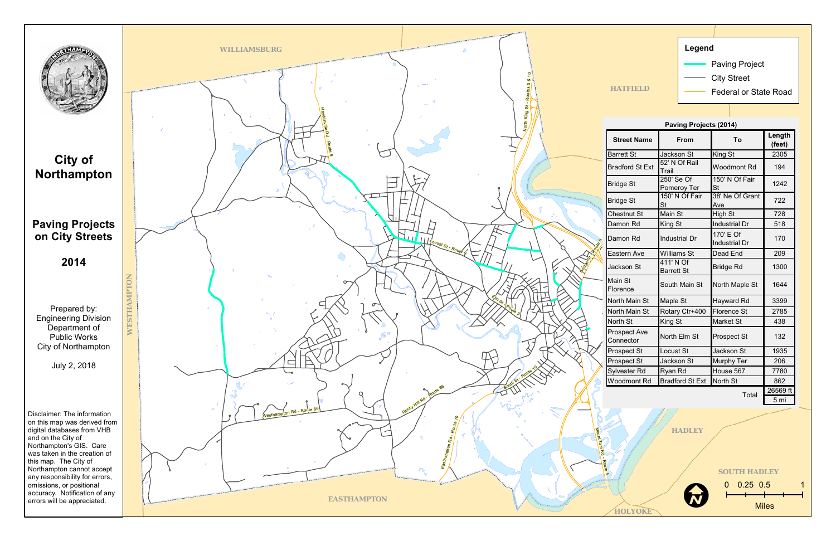

- 
- 

| <b>Paving Projects (2014)</b> |                                |                                   |                  |  |  |
|-------------------------------|--------------------------------|-----------------------------------|------------------|--|--|
| <b>Street Name</b>            | <b>From</b>                    | To                                | Length<br>(feet) |  |  |
| arrett St                     | <b>Jackson St</b>              | King St                           | 2305             |  |  |
| adford St Ext                 | 52' N Of Rail<br>Trail         | Woodmont Rd                       | 194              |  |  |
| idge St                       | 250' Se Of<br>Pomeroy Ter      | 150' N Of Fair<br>St              | 1242             |  |  |
| idge St                       | 150' N Of Fair<br><b>St</b>    | 38' Ne Of Grant<br>Ave            | 722              |  |  |
| <b>nestnut St</b>             | Main St                        | High St                           | 728              |  |  |
| amon Rd                       | King St                        | <b>Industrial Dr</b>              | 518              |  |  |
| amon Rd                       | <b>Industrial Dr</b>           | 170' E Of<br><b>Industrial Dr</b> | 170              |  |  |
| astern Ave                    | <b>Williams St</b>             | Dead End                          | 209              |  |  |
| <sub>i</sub> ckson St         | 411' N Of<br><b>Barrett St</b> | <b>Bridge Rd</b>                  | 1300             |  |  |
| ain St<br>orence              | South Main St                  | North Maple St                    | 1644             |  |  |
| orth Main St                  | Maple St                       | Hayward Rd                        | 3399             |  |  |
| orth Main St                  | Rotary Ctr+400                 | <b>Florence St</b>                | 2785             |  |  |
| orth St                       | King St                        | Market St                         | 438              |  |  |
| ospect Ave<br>onnector        | North Elm St                   | <b>Prospect St</b>                | 132              |  |  |
| ospect St                     | Locust St                      | Jackson St                        | 1935             |  |  |
| ospect St                     | <b>Jackson St</b>              | Murphy Ter                        | 206              |  |  |
| <b>Ivester Rd</b>             | Ryan Rd                        | House 567                         | 7780             |  |  |
| oodmont Rd                    | <b>Bradford St Ext</b>         | North St                          | 862              |  |  |
|                               |                                | Total                             | 26569 ft         |  |  |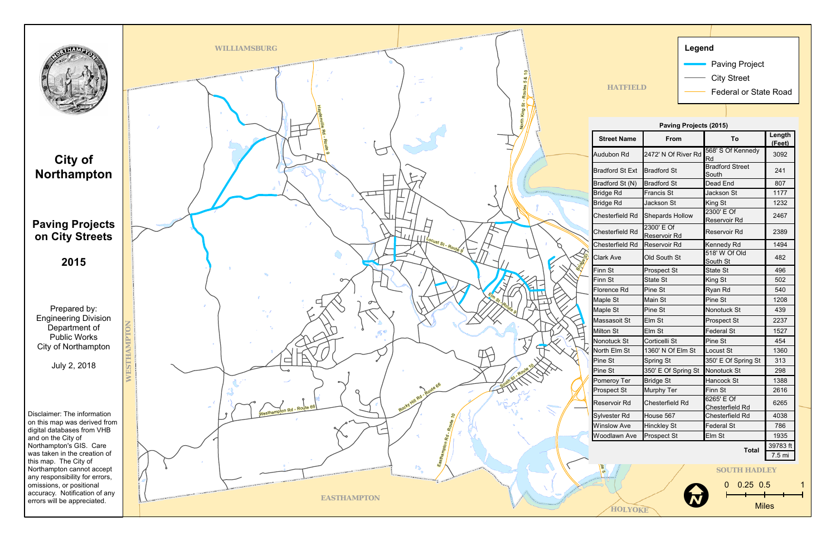*HATFIELD*

*SOUTH HADLEY*

 $\begin{picture}(180,170) \put(0,0){\line(1,0){150}} \put(150,17){\line(1,0){150}} \put(150,17){\line(1,0){150}} \put(150,17){\line(1,0){150}} \put(150,17){\line(1,0){150}} \put(150,17){\line(1,0){150}} \put(150,17){\line(1,0){150}} \put(150,17){\line(1,0){150}} \put(150,17){\line(1,0){150}} \put(150,17){\line(1,0){150}}$ **Miles** 



## **Legend**

Paving Project

City Street

Federal or State Road

| <b>Paving Projects (2015)</b> |                            |                                 |                  |  |  |
|-------------------------------|----------------------------|---------------------------------|------------------|--|--|
| <b>Street Name</b>            | <b>From</b>                | To                              | Length<br>(Feet) |  |  |
| Audubon Rd                    | 2472' N Of River Rd        | 568' S Of Kennedy<br>Rd         | 3092             |  |  |
| Bradford St Ext               | <b>Bradford St</b>         | <b>Bradford Street</b><br>South | 241              |  |  |
| Bradford St (N)               | <b>Bradford St</b>         | Dead End                        | 807              |  |  |
| <b>Bridge Rd</b>              | <b>Francis St</b>          | Jackson St                      | 1177             |  |  |
| <b>Bridge Rd</b>              | Jackson St                 | King St                         | 1232             |  |  |
| Chesterfield Rd               | <b>Shepards Hollow</b>     | 2300' E Of<br>Reservoir Rd      | 2467             |  |  |
| Chesterfield Rd               | 2300' E Of<br>Reservoir Rd | Reservoir Rd                    | 2389             |  |  |
| Chesterfield Rd               | Reservoir Rd               | Kennedy Rd                      | 1494             |  |  |
| Clark Ave                     | Old South St               | 518' W Of Old<br>South St       | 482              |  |  |
| Finn St                       | Prospect St                | State St                        | 496              |  |  |
| Finn St                       | <b>State St</b>            | King St                         | 502              |  |  |
| Florence Rd                   | Pine St                    | Ryan Rd                         | 540              |  |  |
| Maple St                      | Main St                    | Pine St                         | 1208             |  |  |
| Maple St                      | Pine St                    | Nonotuck St                     | 439              |  |  |
| Massasoit St                  | Elm St                     | <b>Prospect St</b>              | 2237             |  |  |
| Milton St                     | Elm St                     | <b>Federal St</b>               | 1527             |  |  |
| Nonotuck St                   | Corticelli St              | Pine St                         | 454              |  |  |
| North Elm St                  | 1360' N Of Elm St          | Locust St                       | 1360             |  |  |
| Pine St                       | Spring St                  | 350' E Of Spring St             | 313              |  |  |
| Pine St                       | 350' E Of Spring St        | Nonotuck St                     | 298              |  |  |
| Pomeroy Ter                   | <b>Bridge St</b>           | Hancock St                      | 1388             |  |  |
| Prospect St                   | Murphy Ter                 | Finn St                         | 2616             |  |  |
| Reservoir Rd                  | Chesterfield Rd            | 6265' E Of<br>Chesterfield Rd   | 6265             |  |  |
| Sylvester Rd                  | House 567                  | Chesterfield Rd                 | 4038             |  |  |
| <b>Winslow Ave</b>            | <b>Hinckley St</b>         | <b>Federal St</b>               | 786              |  |  |
| Woodlawn Ave                  | Prospect St                | Elm St                          | 1935             |  |  |
| <b>Total</b>                  |                            |                                 |                  |  |  |
|                               |                            |                                 |                  |  |  |

 $\boldsymbol{\overline{N}}$ 

7.5 mi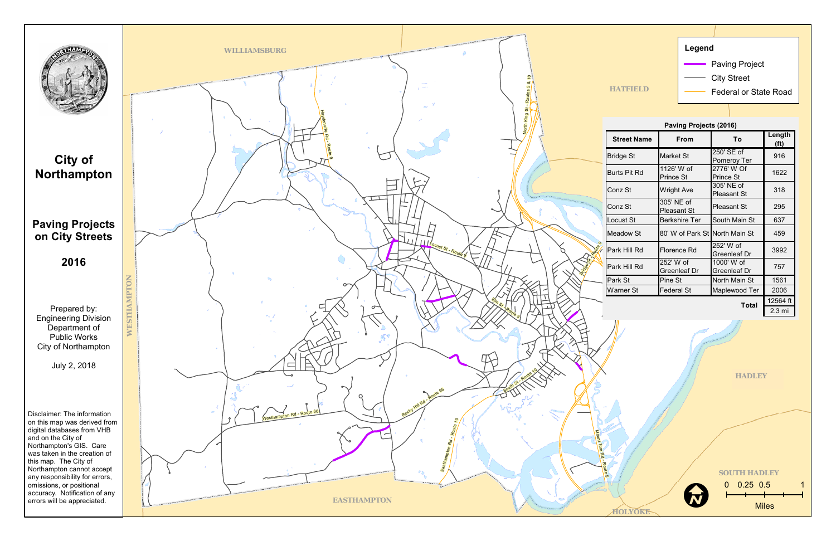

- -

- 
-